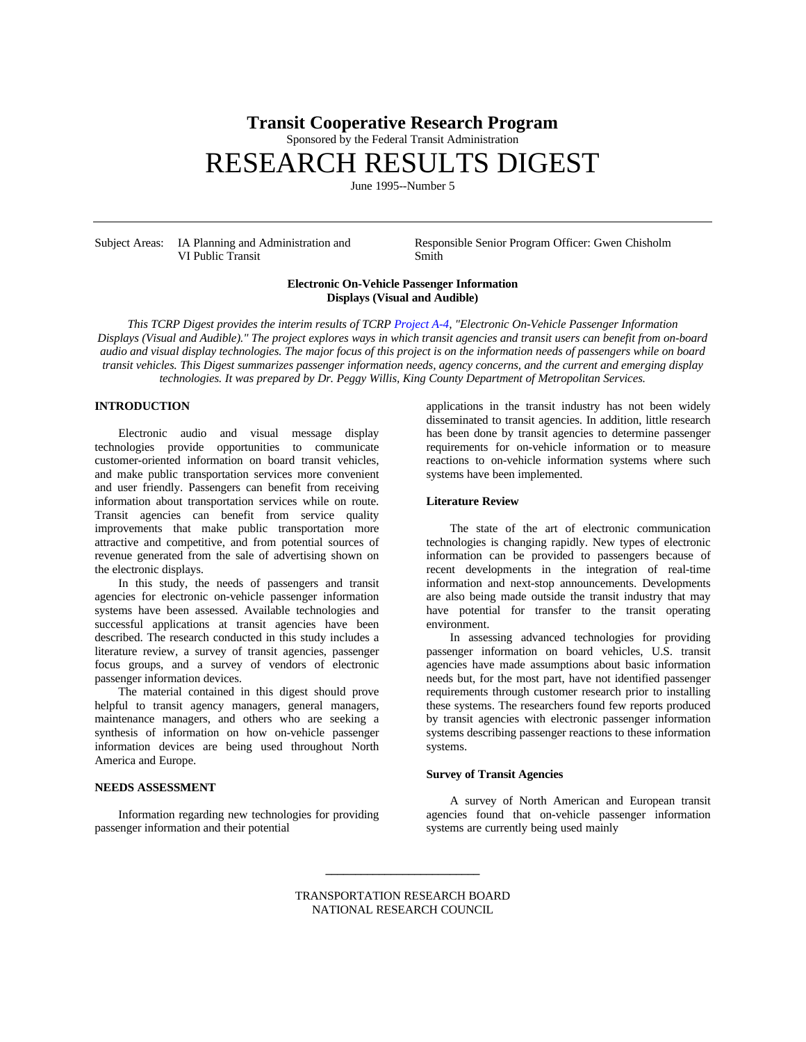## **Transit Cooperative Research Program**

Sponsored by the Federal Transit Administration

# RESEARCH RESULTS DIGEST

June 1995--Number 5

VI Public Transit Smith

Subject Areas: IA Planning and Administration and Responsible Senior Program Officer: Gwen Chisholm

#### **Electronic On-Vehicle Passenger Information Displays (Visual and Audible)**

*This TCRP Digest provides the interim results of TCRP [Project A-4,](http://www4.nationalacademies.org/trb/crp.nsf/All+Projects/TCRP+A-04) "Electronic On-Vehicle Passenger Information Displays (Visual and Audible)." The project explores ways in which transit agencies and transit users can benefit from on-board audio and visual display technologies. The major focus of this project is on the information needs of passengers while on board transit vehicles. This Digest summarizes passenger information needs, agency concerns, and the current and emerging display technologies. It was prepared by Dr. Peggy Willis, King County Department of Metropolitan Services.*

### **INTRODUCTION**

Electronic audio and visual message display technologies provide opportunities to communicate customer-oriented information on board transit vehicles, and make public transportation services more convenient and user friendly. Passengers can benefit from receiving information about transportation services while on route. Transit agencies can benefit from service quality improvements that make public transportation more attractive and competitive, and from potential sources of revenue generated from the sale of advertising shown on the electronic displays.

In this study, the needs of passengers and transit agencies for electronic on-vehicle passenger information systems have been assessed. Available technologies and successful applications at transit agencies have been described. The research conducted in this study includes a literature review, a survey of transit agencies, passenger focus groups, and a survey of vendors of electronic passenger information devices.

The material contained in this digest should prove helpful to transit agency managers, general managers, maintenance managers, and others who are seeking a synthesis of information on how on-vehicle passenger information devices are being used throughout North America and Europe.

#### **NEEDS ASSESSMENT**

Information regarding new technologies for providing passenger information and their potential

applications in the transit industry has not been widely disseminated to transit agencies. In addition, little research has been done by transit agencies to determine passenger requirements for on-vehicle information or to measure reactions to on-vehicle information systems where such systems have been implemented.

#### **Literature Review**

The state of the art of electronic communication technologies is changing rapidly. New types of electronic information can be provided to passengers because of recent developments in the integration of real-time information and next-stop announcements. Developments are also being made outside the transit industry that may have potential for transfer to the transit operating environment.

In assessing advanced technologies for providing passenger information on board vehicles, U.S. transit agencies have made assumptions about basic information needs but, for the most part, have not identified passenger requirements through customer research prior to installing these systems. The researchers found few reports produced by transit agencies with electronic passenger information systems describing passenger reactions to these information systems.

#### **Survey of Transit Agencies**

A survey of North American and European transit agencies found that on-vehicle passenger information systems are currently being used mainly

TRANSPORTATION RESEARCH BOARD NATIONAL RESEARCH COUNCIL

**\_\_\_\_\_\_\_\_\_\_\_\_\_\_\_\_\_\_\_\_\_\_\_\_\_\_**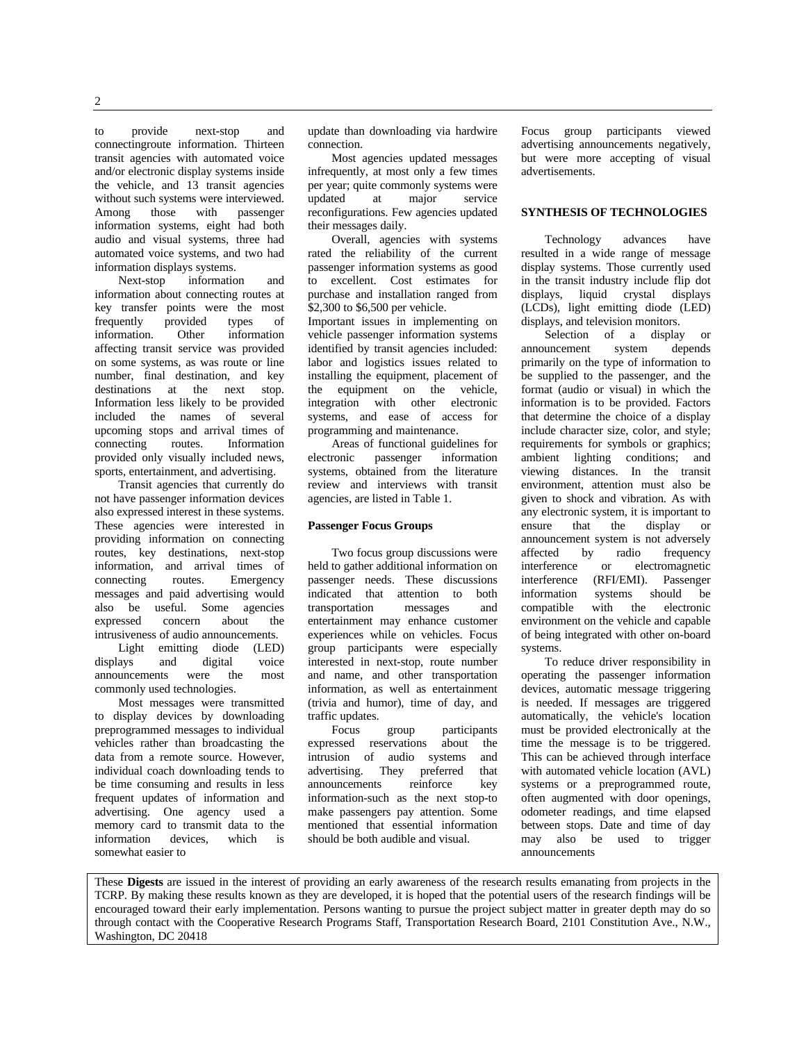to provide next-stop and connectingroute information. Thirteen transit agencies with automated voice and/or electronic display systems inside the vehicle, and 13 transit agencies without such systems were interviewed.<br>Among those with passenger Among those with passenger information systems, eight had both audio and visual systems, three had automated voice systems, and two had information displays systems.

Next-stop information and information about connecting routes at key transfer points were the most frequently provided types of<br>information. Other information information affecting transit service was provided on some systems, as was route or line number, final destination, and key destinations at the next stop. Information less likely to be provided included the names of several upcoming stops and arrival times of connecting routes. Information provided only visually included news, sports, entertainment, and advertising.

Transit agencies that currently do not have passenger information devices also expressed interest in these systems. These agencies were interested in providing information on connecting routes, key destinations, next-stop information, and arrival times of connecting routes. Emergency messages and paid advertising would also be useful. Some agencies expressed concern about the intrusiveness of audio announcements.

Light emitting diode (LED) displays and digital voice announcements were the most commonly used technologies.

Most messages were transmitted to display devices by downloading preprogrammed messages to individual vehicles rather than broadcasting the data from a remote source. However, individual coach downloading tends to be time consuming and results in less frequent updates of information and advertising. One agency used a memory card to transmit data to the<br>information devices, which is information devices which is somewhat easier to

update than downloading via hardwire connection.

Most agencies updated messages infrequently, at most only a few times per year; quite commonly systems were updated at major service reconfigurations. Few agencies updated their messages daily.

Overall, agencies with systems rated the reliability of the current passenger information systems as good to excellent. Cost estimates for purchase and installation ranged from \$2,300 to \$6,500 per vehicle.

Important issues in implementing on vehicle passenger information systems identified by transit agencies included: labor and logistics issues related to installing the equipment, placement of the equipment on the vehicle, integration with other electronic systems, and ease of access for programming and maintenance.

Areas of functional guidelines for electronic passenger information systems, obtained from the literature review and interviews with transit agencies, are listed in Table 1.

#### **Passenger Focus Groups**

Two focus group discussions were held to gather additional information on passenger needs. These discussions indicated that attention to both transportation messages and entertainment may enhance customer experiences while on vehicles. Focus group participants were especially interested in next-stop, route number and name, and other transportation information, as well as entertainment (trivia and humor), time of day, and traffic updates.

Focus group participants expressed reservations about the intrusion of audio systems and advertising. They preferred that announcements reinforce key information-such as the next stop-to make passengers pay attention. Some mentioned that essential information should be both audible and visual.

Focus group participants viewed advertising announcements negatively, but were more accepting of visual advertisements.

#### **SYNTHESIS OF TECHNOLOGIES**

Technology advances have resulted in a wide range of message display systems. Those currently used in the transit industry include flip dot displays, liquid crystal displays (LCDs), light emitting diode (LED) displays, and television monitors.

Selection of a display or<br>uncement system depends announcement primarily on the type of information to be supplied to the passenger, and the format (audio or visual) in which the information is to be provided. Factors that determine the choice of a display include character size, color, and style; requirements for symbols or graphics; ambient lighting conditions; and viewing distances. In the transit environment, attention must also be given to shock and vibration. As with any electronic system, it is important to ensure that the display or announcement system is not adversely affected by radio frequency interference or electromagnetic interference (RFI/EMI). Passenger information systems should be<br>compatible with the electronic compatible with the environment on the vehicle and capable of being integrated with other on-board systems.

To reduce driver responsibility in operating the passenger information devices, automatic message triggering is needed. If messages are triggered automatically, the vehicle's location must be provided electronically at the time the message is to be triggered. This can be achieved through interface with automated vehicle location (AVL) systems or a preprogrammed route, often augmented with door openings, odometer readings, and time elapsed between stops. Date and time of day may also be used to trigger announcements

These **Digests** are issued in the interest of providing an early awareness of the research results emanating from projects in the TCRP. By making these results known as they are developed, it is hoped that the potential users of the research findings will be encouraged toward their early implementation. Persons wanting to pursue the project subject matter in greater depth may do so through contact with the Cooperative Research Programs Staff, Transportation Research Board, 2101 Constitution Ave., N.W., Washington, DC 20418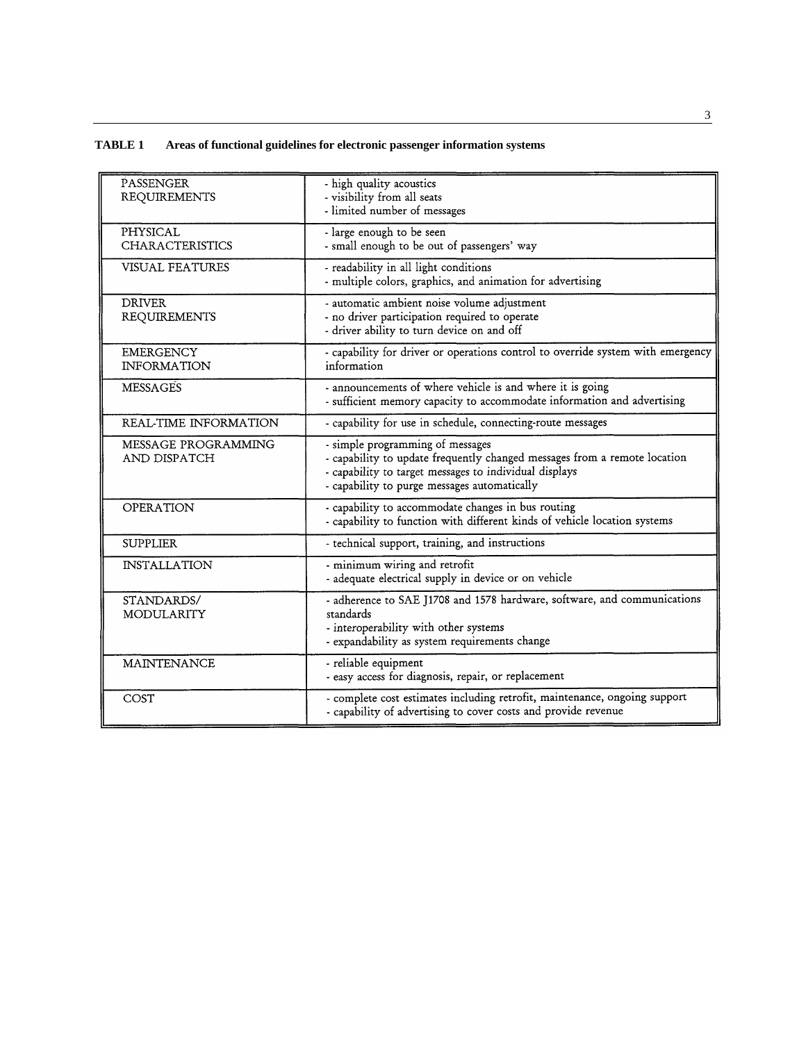## **TABLE 1 Areas of functional guidelines for electronic passenger information systems**

| PASSENGER<br><b>REQUIREMENTS</b>          | - high quality acoustics<br>- visibility from all seats<br>- limited number of messages                                                                                                                                 |  |  |  |
|-------------------------------------------|-------------------------------------------------------------------------------------------------------------------------------------------------------------------------------------------------------------------------|--|--|--|
| <b>PHYSICAL</b><br><b>CHARACTERISTICS</b> | - large enough to be seen<br>- small enough to be out of passengers' way                                                                                                                                                |  |  |  |
| <b>VISUAL FEATURES</b>                    | - readability in all light conditions<br>- multiple colors, graphics, and animation for advertising                                                                                                                     |  |  |  |
| <b>DRIVER</b><br><b>REQUIREMENTS</b>      | - automatic ambient noise volume adjustment<br>- no driver participation required to operate<br>- driver ability to turn device on and off                                                                              |  |  |  |
| <b>EMERGENCY</b><br><b>INFORMATION</b>    | - capability for driver or operations control to override system with emergency<br>information                                                                                                                          |  |  |  |
| <b>MESSAGES</b>                           | - announcements of where vehicle is and where it is going<br>- sufficient memory capacity to accommodate information and advertising                                                                                    |  |  |  |
| REAL-TIME INFORMATION                     | - capability for use in schedule, connecting-route messages                                                                                                                                                             |  |  |  |
| MESSAGE PROGRAMMING<br>AND DISPATCH       | - simple programming of messages<br>- capability to update frequently changed messages from a remote location<br>- capability to target messages to individual displays<br>- capability to purge messages automatically |  |  |  |
| <b>OPERATION</b>                          | - capability to accommodate changes in bus routing<br>- capability to function with different kinds of vehicle location systems                                                                                         |  |  |  |
| <b>SUPPLIER</b>                           | - technical support, training, and instructions                                                                                                                                                                         |  |  |  |
| <b>INSTALLATION</b>                       | - minimum wiring and retrofit<br>- adequate electrical supply in device or on vehicle                                                                                                                                   |  |  |  |
| STANDARDS/<br><b>MODULARITY</b>           | - adherence to SAE J1708 and 1578 hardware, software, and communications<br>standards<br>- interoperability with other systems<br>- expandability as system requirements change                                         |  |  |  |
| <b>MAINTENANCE</b>                        | - reliable equipment<br>- easy access for diagnosis, repair, or replacement                                                                                                                                             |  |  |  |
| COST                                      | - complete cost estimates including retrofit, maintenance, ongoing support<br>- capability of advertising to cover costs and provide revenue                                                                            |  |  |  |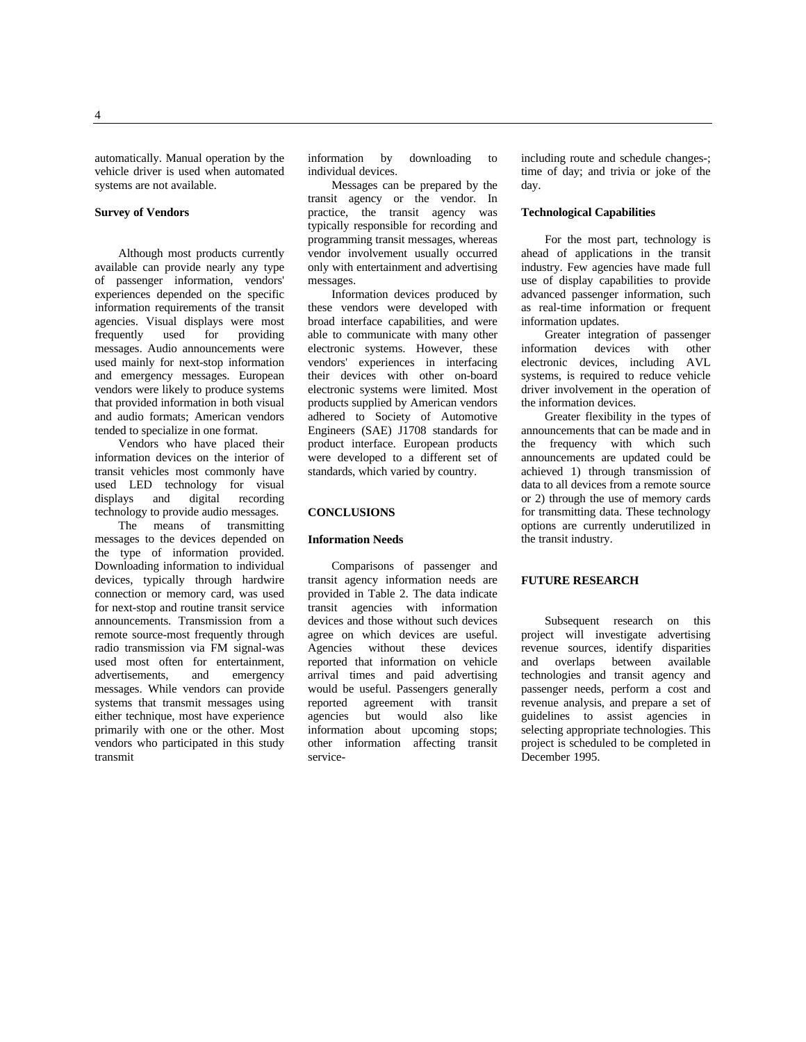automatically. Manual operation by the vehicle driver is used when automated systems are not available.

#### **Survey of Vendors**

Although most products currently available can provide nearly any type of passenger information, vendors' experiences depended on the specific information requirements of the transit agencies. Visual displays were most<br>frequently used for providing frequently messages. Audio announcements were used mainly for next-stop information and emergency messages. European vendors were likely to produce systems that provided information in both visual and audio formats; American vendors tended to specialize in one format.

Vendors who have placed their information devices on the interior of transit vehicles most commonly have used LED technology for visual<br>displays and digital recording digital recording technology to provide audio messages.

The means of transmitting messages to the devices depended on the type of information provided. Downloading information to individual devices, typically through hardwire connection or memory card, was used for next-stop and routine transit service announcements. Transmission from a remote source-most frequently through radio transmission via FM signal-was used most often for entertainment,<br>advertisements, and emergency advertisements, and messages. While vendors can provide systems that transmit messages using either technique, most have experience primarily with one or the other. Most vendors who participated in this study transmit

information by downloading to individual devices.

Messages can be prepared by the transit agency or the vendor. In practice, the transit agency was typically responsible for recording and programming transit messages, whereas vendor involvement usually occurred only with entertainment and advertising messages.

Information devices produced by these vendors were developed with broad interface capabilities, and were able to communicate with many other electronic systems. However, these vendors' experiences in interfacing their devices with other on-board electronic systems were limited. Most products supplied by American vendors adhered to Society of Automotive Engineers (SAE) J1708 standards for product interface. European products were developed to a different set of standards, which varied by country.

#### **CONCLUSIONS**

#### **Information Needs**

Comparisons of passenger and transit agency information needs are provided in Table 2. The data indicate transit agencies with information devices and those without such devices agree on which devices are useful. Agencies without these devices reported that information on vehicle arrival times and paid advertising would be useful. Passengers generally<br>reported agreement with transit agreement with transit agencies but would also like information about upcoming stops; other information affecting transit serviceincluding route and schedule changes-; time of day; and trivia or joke of the day.

#### **Technological Capabilities**

For the most part, technology is ahead of applications in the transit industry. Few agencies have made full use of display capabilities to provide advanced passenger information, such as real-time information or frequent information updates.

Greater integration of passenger information devices with other electronic devices, including AVL systems, is required to reduce vehicle driver involvement in the operation of the information devices.

Greater flexibility in the types of announcements that can be made and in the frequency with which such announcements are updated could be achieved 1) through transmission of data to all devices from a remote source or 2) through the use of memory cards for transmitting data. These technology options are currently underutilized in the transit industry.

#### **FUTURE RESEARCH**

Subsequent research on this project will investigate advertising revenue sources, identify disparities and overlaps between available technologies and transit agency and passenger needs, perform a cost and revenue analysis, and prepare a set of guidelines to assist agencies in selecting appropriate technologies. This project is scheduled to be completed in December 1995.